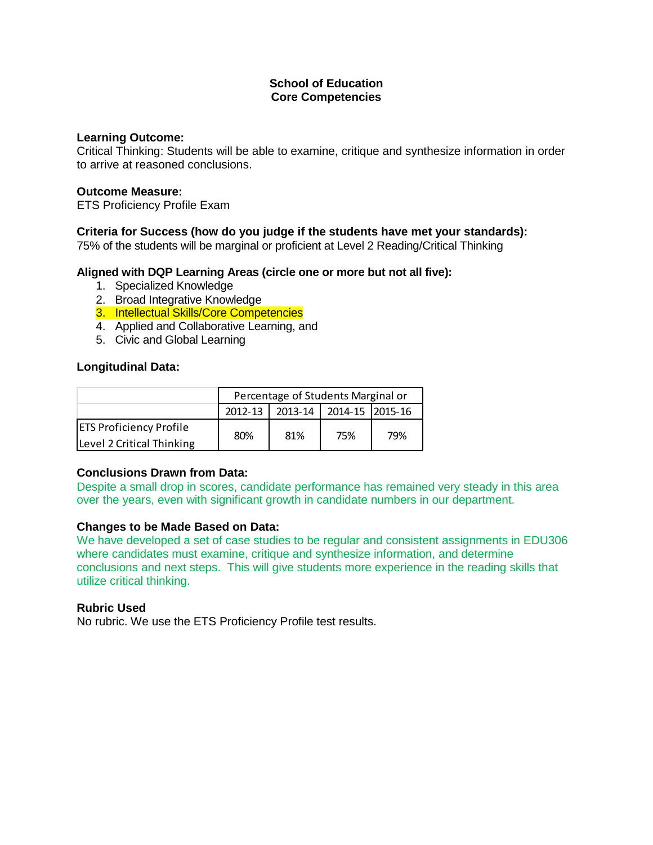### **School of Education Core Competencies**

### **Learning Outcome:**

Critical Thinking: Students will be able to examine, critique and synthesize information in order to arrive at reasoned conclusions.

### **Outcome Measure:**

ETS Proficiency Profile Exam

# **Criteria for Success (how do you judge if the students have met your standards):**

75% of the students will be marginal or proficient at Level 2 Reading/Critical Thinking

### **Aligned with DQP Learning Areas (circle one or more but not all five):**

- 1. Specialized Knowledge
- 2. Broad Integrative Knowledge
- 3. Intellectual Skills/Core Competencies
- 4. Applied and Collaborative Learning, and
- 5. Civic and Global Learning

# **Longitudinal Data:**

|                                | Percentage of Students Marginal or |                                       |     |     |  |
|--------------------------------|------------------------------------|---------------------------------------|-----|-----|--|
|                                |                                    | 2012-13   2013-14   2014-15   2015-16 |     |     |  |
| <b>ETS Proficiency Profile</b> | 80%                                | 81%                                   | 75% | 79% |  |
| Level 2 Critical Thinking      |                                    |                                       |     |     |  |

# **Conclusions Drawn from Data:**

Despite a small drop in scores, candidate performance has remained very steady in this area over the years, even with significant growth in candidate numbers in our department.

### **Changes to be Made Based on Data:**

We have developed a set of case studies to be regular and consistent assignments in EDU306 where candidates must examine, critique and synthesize information, and determine conclusions and next steps. This will give students more experience in the reading skills that utilize critical thinking.

### **Rubric Used**

No rubric. We use the ETS Proficiency Profile test results.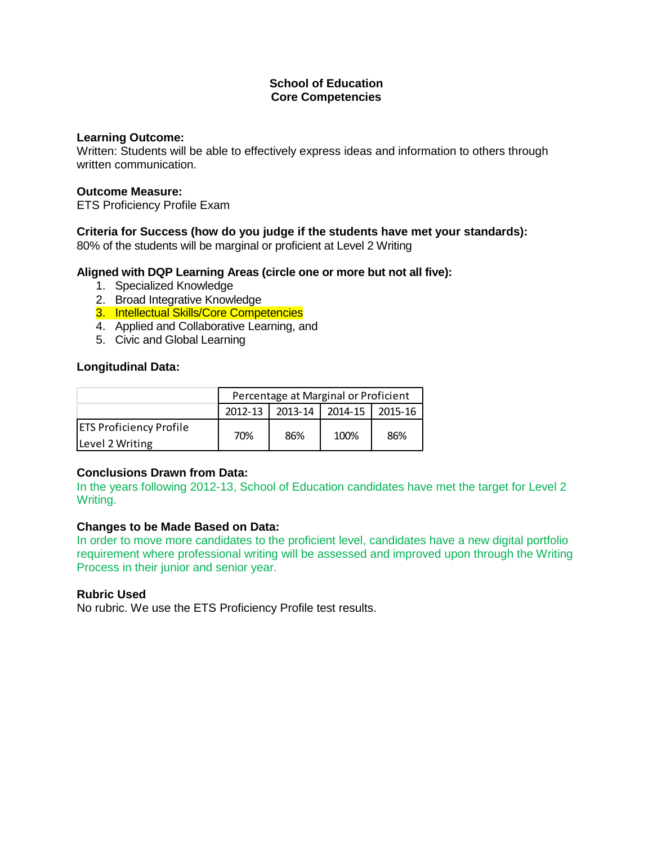### **School of Education Core Competencies**

### **Learning Outcome:**

Written: Students will be able to effectively express ideas and information to others through written communication.

### **Outcome Measure:**

ETS Proficiency Profile Exam

# **Criteria for Success (how do you judge if the students have met your standards):**

80% of the students will be marginal or proficient at Level 2 Writing

### **Aligned with DQP Learning Areas (circle one or more but not all five):**

- 1. Specialized Knowledge
- 2. Broad Integrative Knowledge
- 3. Intellectual Skills/Core Competencies
- 4. Applied and Collaborative Learning, and
- 5. Civic and Global Learning

# **Longitudinal Data:**

|                                | Percentage at Marginal or Proficient |     |                 |         |  |
|--------------------------------|--------------------------------------|-----|-----------------|---------|--|
|                                | $2012 - 13$                          |     | 2013-14 2014-15 | 2015-16 |  |
| <b>ETS Proficiency Profile</b> | 70%                                  | 86% | 100%            | 86%     |  |
| Level 2 Writing                |                                      |     |                 |         |  |

# **Conclusions Drawn from Data:**

In the years following 2012-13, School of Education candidates have met the target for Level 2 Writing.

# **Changes to be Made Based on Data:**

In order to move more candidates to the proficient level, candidates have a new digital portfolio requirement where professional writing will be assessed and improved upon through the Writing Process in their junior and senior year.

# **Rubric Used**

No rubric. We use the ETS Proficiency Profile test results.